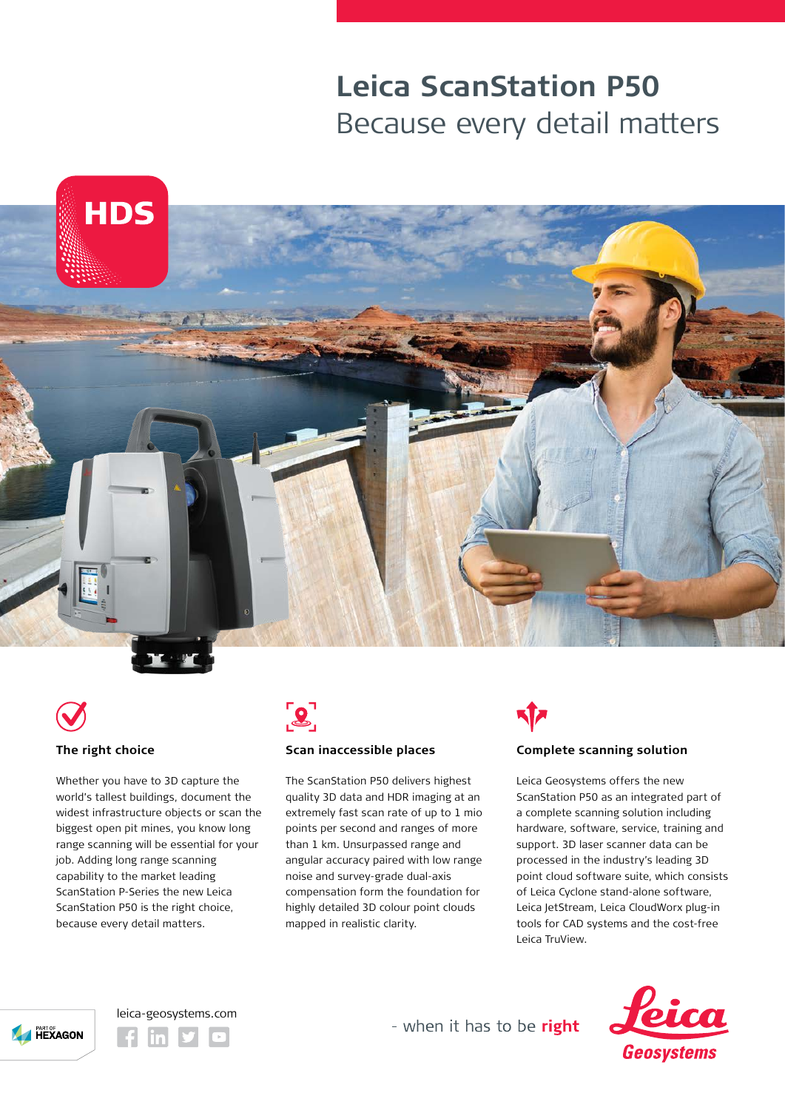# **Leica ScanStation P50** Because every detail matters







#### **The right choice**

Whether you have to 3D capture the world's tallest buildings, document the widest infrastructure objects or scan the biggest open pit mines, you know long range scanning will be essential for your job. Adding long range scanning capability to the market leading ScanStation P-Series the new Leica ScanStation P50 is the right choice, because every detail matters.



#### **Scan inaccessible places**

The ScanStation P50 delivers highest quality 3D data and HDR imaging at an extremely fast scan rate of up to 1 mio points per second and ranges of more than 1 km. Unsurpassed range and angular accuracy paired with low range noise and survey-grade dual-axis compensation form the foundation for highly detailed 3D colour point clouds mapped in realistic clarity.

# **Complete scanning solution**

Leica Geosystems offers the new ScanStation P50 as an integrated part of a complete scanning solution including hardware, software, service, training and support. 3D laser scanner data can be processed in the industry's leading 3D point cloud software suite, which consists of Leica Cyclone stand-alone software, Leica JetStream, Leica CloudWorx plug-in tools for CAD systems and the cost-free Leica TruView.







- when it has to be right